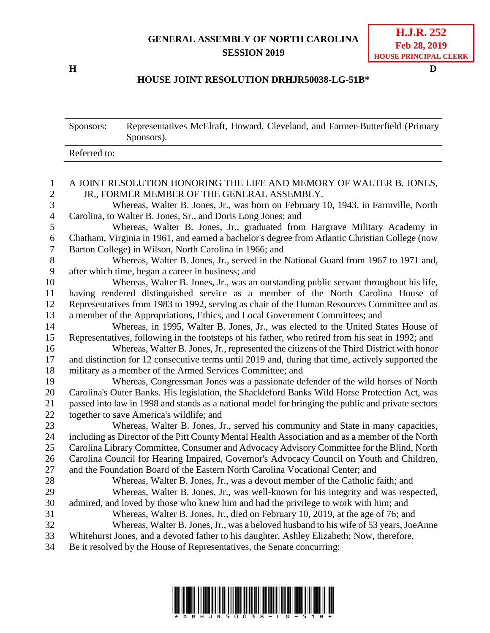## **GENERAL ASSEMBLY OF NORTH CAROLINA SESSION 2019**

**H D**

## **HOUSE JOINT RESOLUTION DRHJR50038-LG-51B\***

|                              | Sponsors:                                                                                                          | Representatives McElraft, Howard, Cleveland, and Farmer-Butterfield (Primary<br>Sponsors).         |
|------------------------------|--------------------------------------------------------------------------------------------------------------------|----------------------------------------------------------------------------------------------------|
|                              | Referred to:                                                                                                       |                                                                                                    |
|                              |                                                                                                                    |                                                                                                    |
| $\mathbf{1}$<br>$\mathbf{2}$ | A JOINT RESOLUTION HONORING THE LIFE AND MEMORY OF WALTER B. JONES,<br>JR., FORMER MEMBER OF THE GENERAL ASSEMBLY. |                                                                                                    |
| 3                            |                                                                                                                    | Whereas, Walter B. Jones, Jr., was born on February 10, 1943, in Farmville, North                  |
| $\overline{4}$               | Carolina, to Walter B. Jones, Sr., and Doris Long Jones; and                                                       |                                                                                                    |
| 5                            | Whereas, Walter B. Jones, Jr., graduated from Hargrave Military Academy in                                         |                                                                                                    |
| 6                            | Chatham, Virginia in 1961, and earned a bachelor's degree from Atlantic Christian College (now                     |                                                                                                    |
| $\tau$                       | Barton College) in Wilson, North Carolina in 1966; and                                                             |                                                                                                    |
| $8\,$                        |                                                                                                                    | Whereas, Walter B. Jones, Jr., served in the National Guard from 1967 to 1971 and,                 |
| 9                            | after which time, began a career in business; and                                                                  |                                                                                                    |
| 10                           | Whereas, Walter B. Jones, Jr., was an outstanding public servant throughout his life,                              |                                                                                                    |
| 11                           | having rendered distinguished service as a member of the North Carolina House of                                   |                                                                                                    |
| 12                           | Representatives from 1983 to 1992, serving as chair of the Human Resources Committee and as                        |                                                                                                    |
| 13                           | a member of the Appropriations, Ethics, and Local Government Committees; and                                       |                                                                                                    |
| 14                           | Whereas, in 1995, Walter B. Jones, Jr., was elected to the United States House of                                  |                                                                                                    |
| 15                           | Representatives, following in the footsteps of his father, who retired from his seat in 1992; and                  |                                                                                                    |
| 16                           |                                                                                                                    | Whereas, Walter B. Jones, Jr., represented the citizens of the Third District with honor           |
| 17                           |                                                                                                                    | and distinction for 12 consecutive terms until 2019 and, during that time, actively supported the  |
| 18                           | military as a member of the Armed Services Committee; and                                                          |                                                                                                    |
| 19                           |                                                                                                                    | Whereas, Congressman Jones was a passionate defender of the wild horses of North                   |
| 20                           | Carolina's Outer Banks. His legislation, the Shackleford Banks Wild Horse Protection Act, was                      |                                                                                                    |
| 21                           |                                                                                                                    | passed into law in 1998 and stands as a national model for bringing the public and private sectors |
| 22                           |                                                                                                                    | together to save America's wildlife; and                                                           |
| 23                           |                                                                                                                    | Whereas, Walter B. Jones, Jr., served his community and State in many capacities,                  |
| 24                           |                                                                                                                    | including as Director of the Pitt County Mental Health Association and as a member of the North    |
| 25                           |                                                                                                                    | Carolina Library Committee, Consumer and Advocacy Advisory Committee for the Blind, North          |
| 26                           |                                                                                                                    | Carolina Council for Hearing Impaired, Governor's Advocacy Council on Youth and Children,          |
| 27                           |                                                                                                                    | and the Foundation Board of the Eastern North Carolina Vocational Center; and                      |
| 28                           |                                                                                                                    | Whereas, Walter B. Jones, Jr., was a devout member of the Catholic faith; and                      |
| 29                           |                                                                                                                    | Whereas, Walter B. Jones, Jr., was well-known for his integrity and was respected,                 |
| 30                           |                                                                                                                    | admired, and loved by those who knew him and had the privilege to work with him; and               |
| 31                           |                                                                                                                    | Whereas, Walter B. Jones, Jr., died on February 10, 2019, at the age of 76; and                    |
| 32                           |                                                                                                                    | Whereas, Walter B. Jones, Jr., was a beloved husband to his wife of 53 years, JoeAnne              |
| 33                           |                                                                                                                    | Whitehurst Jones, and a devoted father to his daughter, Ashley Elizabeth; Now, therefore,          |
| 34                           | Be it resolved by the House of Representatives, the Senate concurring:                                             |                                                                                                    |